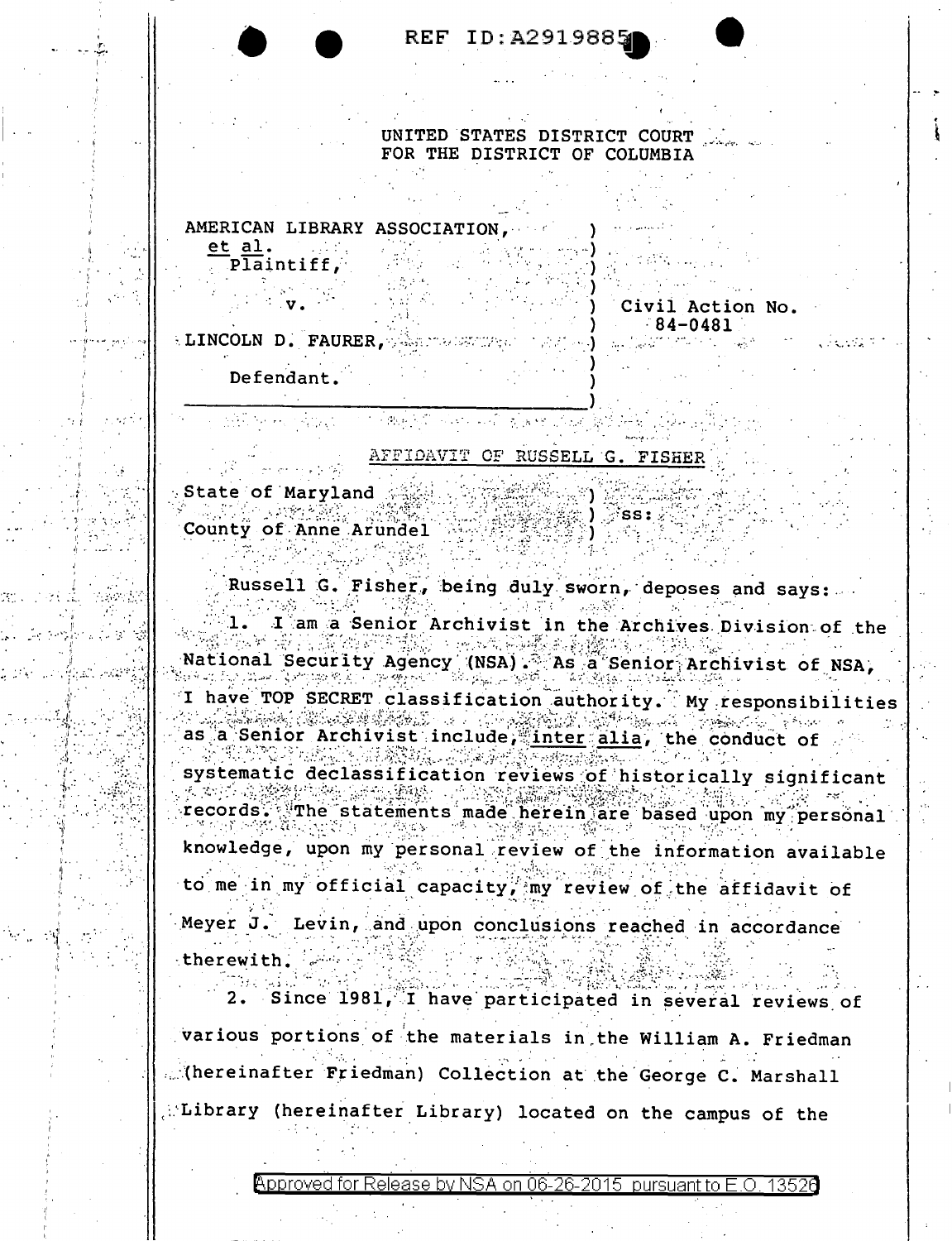| REF ID: A2919885 |  |  |  |  |  |
|------------------|--|--|--|--|--|
|------------------|--|--|--|--|--|

UNITED STATES DISTRICT COURT FOR THE DISTRICT OF COLUMBIA

AMERICAN LIBRARY ASSOCIATION et al.

Plaintiff,

Civil Action No.  $84 - 0481$ ELINCOLN D. FAURER, WAS MADEPUTED

Defendant.

AFFIDAVIT OF RUSSELL G. FISHER

THE PART OF THE REPORT OF THE

 $\cdot$  State of Maryland  $\scriptstyle\odot$ County of Anne Arundel  $\circ$  SS:

Russell G. Fisher, being duly sworn, deposes and says: I am a Senior Archivist in the Archives Division of the . د. National Security Agency (NSA) . As a Senior Archivist of NSA, I have TOP SECRET classification authority. My responsibilities و په کار کې د پاره کې د کارونو کې ده.<br>د او د کارونو کارونو کې د کارونو کې د کارونو کې د کارونو کې د کارونو کې د کارونو کې د کارونو کې د کارونو کې د  $\mathcal{O}_{\text{max}}$  , which as a Senior Archivist include, inter alia, the conduct of  $\mathcal{H}_{\text{M}}$  , where  $\mathcal{H}_{\text{M}}$ systematic declassification reviews of historically significant  $-36733$ records. The statements made herein are based upon my personal knowledge, upon my personal review of the information available to me in my official capacity, my review of the affidavit of Meyer J. Levin, and upon conclusions reached in accordance therewith.

2. Since 1981, I have participated in several reviews of various portions of the materials in the William A. Friedman Mereinafter Friedman) Collection at the George C. Marshall Library (hereinafter Library) located on the campus of the

Approved for Release by NSA on 06-26-2015 pursuant to E.O. 13526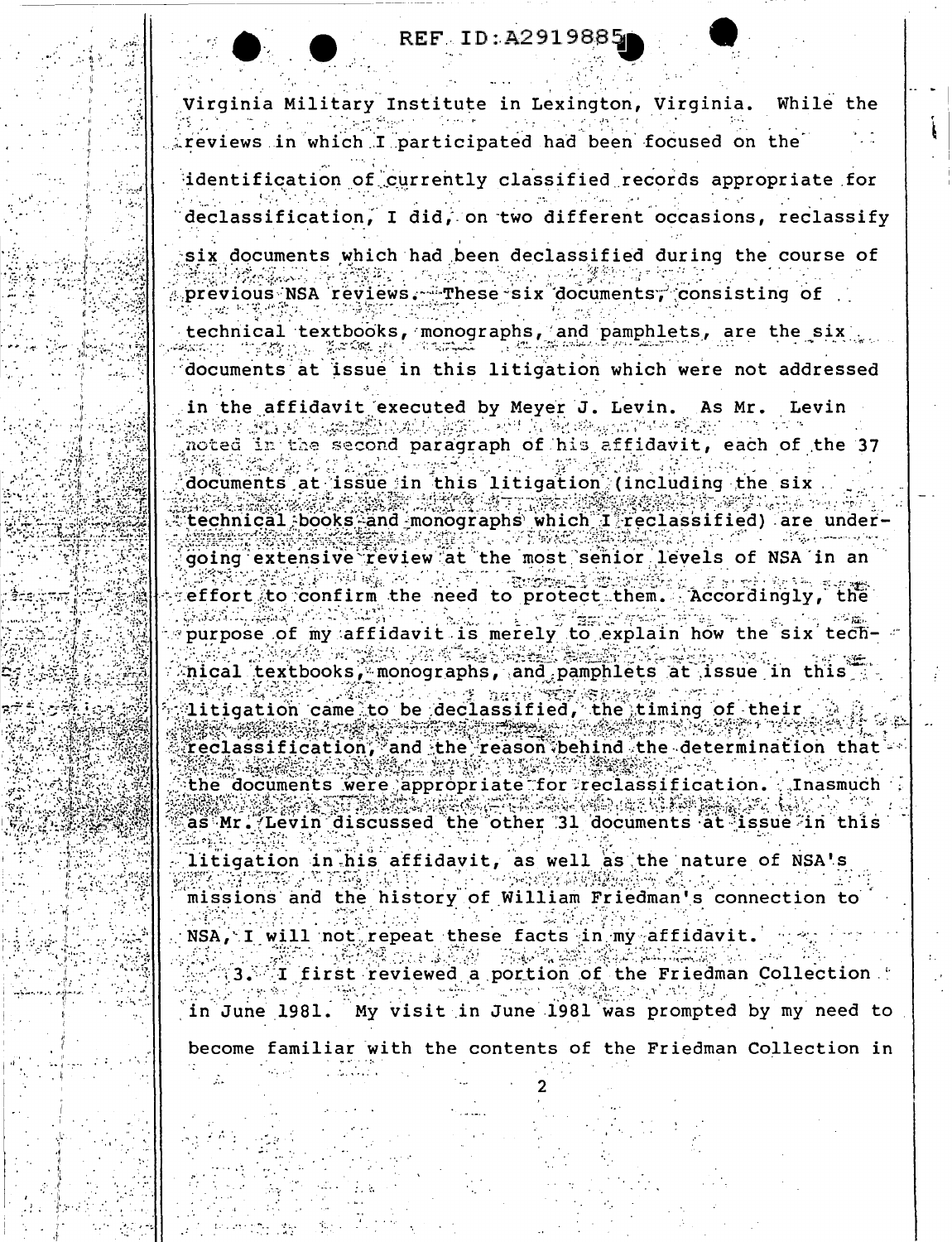## REF ID: A291988

Virginia Military Institute in Lexington, Virginia. While the treviews in which I participated had been focused on the

identification of currently classified records appropriate for declassification, I did, on two different occasions, reclassify

six documents which had been declassified during the course of previous NSA reviews. These six documents, consisting of

technical textbooks, monographs, and pamphlets, are the six

documents at issue in this litigation which were not addressed

in the affidavit executed by Meyer J. Levin. As Mr. Levin أنطق فتناولهم

noted in the second paragraph of his affidavit, each of the 37

documents at issue in this litigation (including the six technical books and monographs which I reclassified) are undergoing extensive review at the most senior levels of NSA in an  $\sim 1~m_{Pl}$ effort to confirm the need to protect them. Accordingly, the purpose of my affidavit is merely to explain how the six technical textbooks, monographs, and pamphlets at issue in this i

 $\sim$  71.75 litigation came to be declassified, the timing of their reclassification, and the reason behind the determination that the documents were appropriate for reclassification. **Inasmuch** as Mr. Levin discussed the other 31 documents at issue in this

litigation in his affidavit, as well as the nature of NSA's missions and the history of William Friedman's connection to

NSA, I will not repeat these facts in my affidavit. 13. I first reviewed a portion of the Friedman Collection

My visit in June 1981 was prompted by my need to in June 1981.

become familiar with the contents of the Friedman Collection in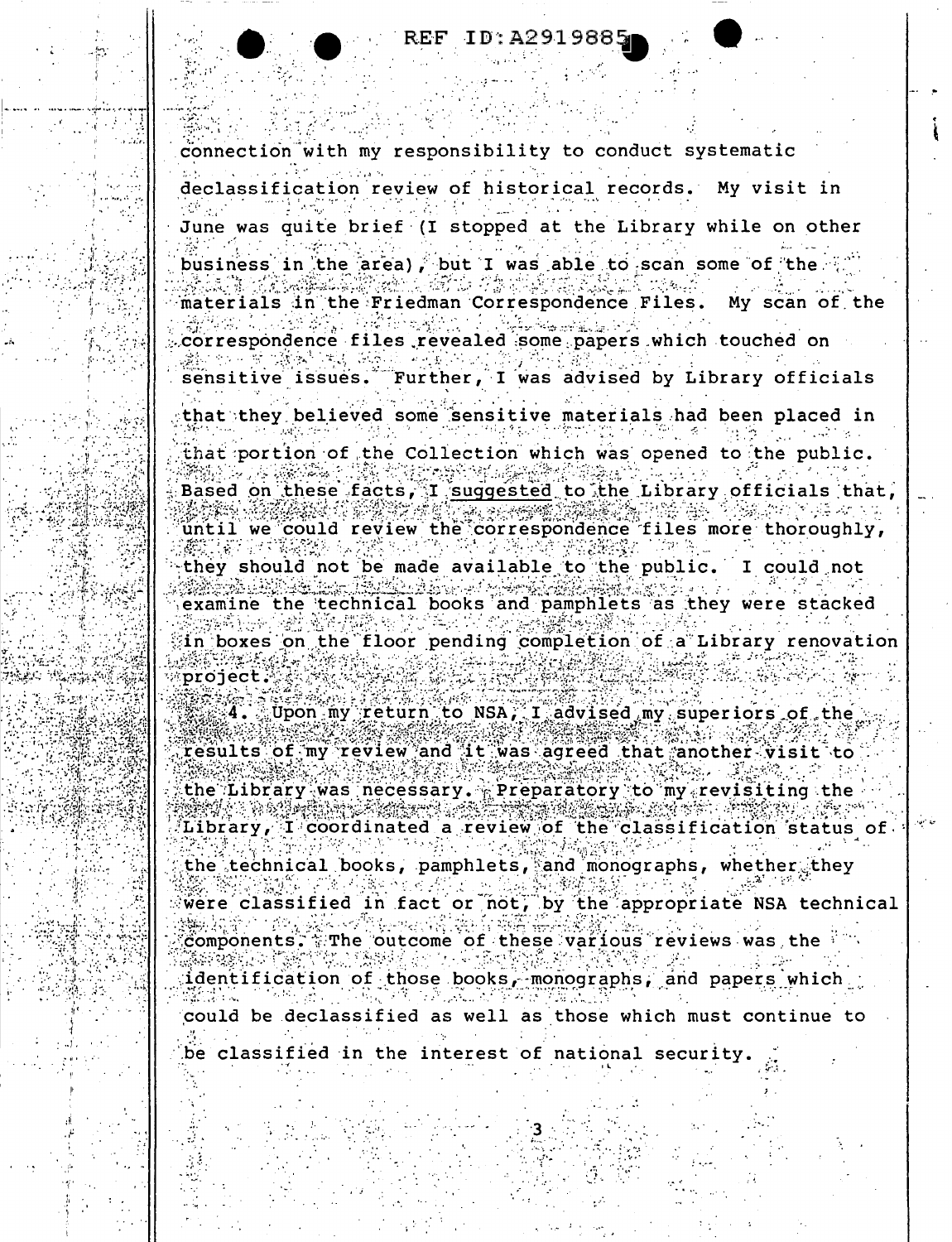connection with my responsibility to conduct systematic

declassification review of historical records. My visit in

June was quite brief (I stopped at the Library while on other

business in the area), but I was able to scan some of the materials in the Friedman Correspondence Files. My scan of the

correspondence files revealed some papers which touched on Further, I was advised by Library officials sensitive issues.

that they believed some sensitive materials had been placed in that portion of the Collection which was opened to the public. Based on these facts, I suggested to the Library officials that until we could review the correspondence files more thoroughly, they should not be made available to the public. I could not examine the technical books and pamphlets as they were stacked in boxes on the floor pending completion of a Library renovation

project.

Upon my return to NSA, I advised my superiors of the results of my review and it was agreed that another visit to the Library was necessary. Preparatory to my revisiting the Library, I coordinated a review of the classification status of the technical books, pamphlets, and monographs, whether they were classified in fact or not, by the appropriate NSA technical . The outcome of these various reviews was the  $\sim$ *Components.* 

identification of those books, monographs, and papers which could be declassified as well as those which must continue to

be classified in the interest of national security.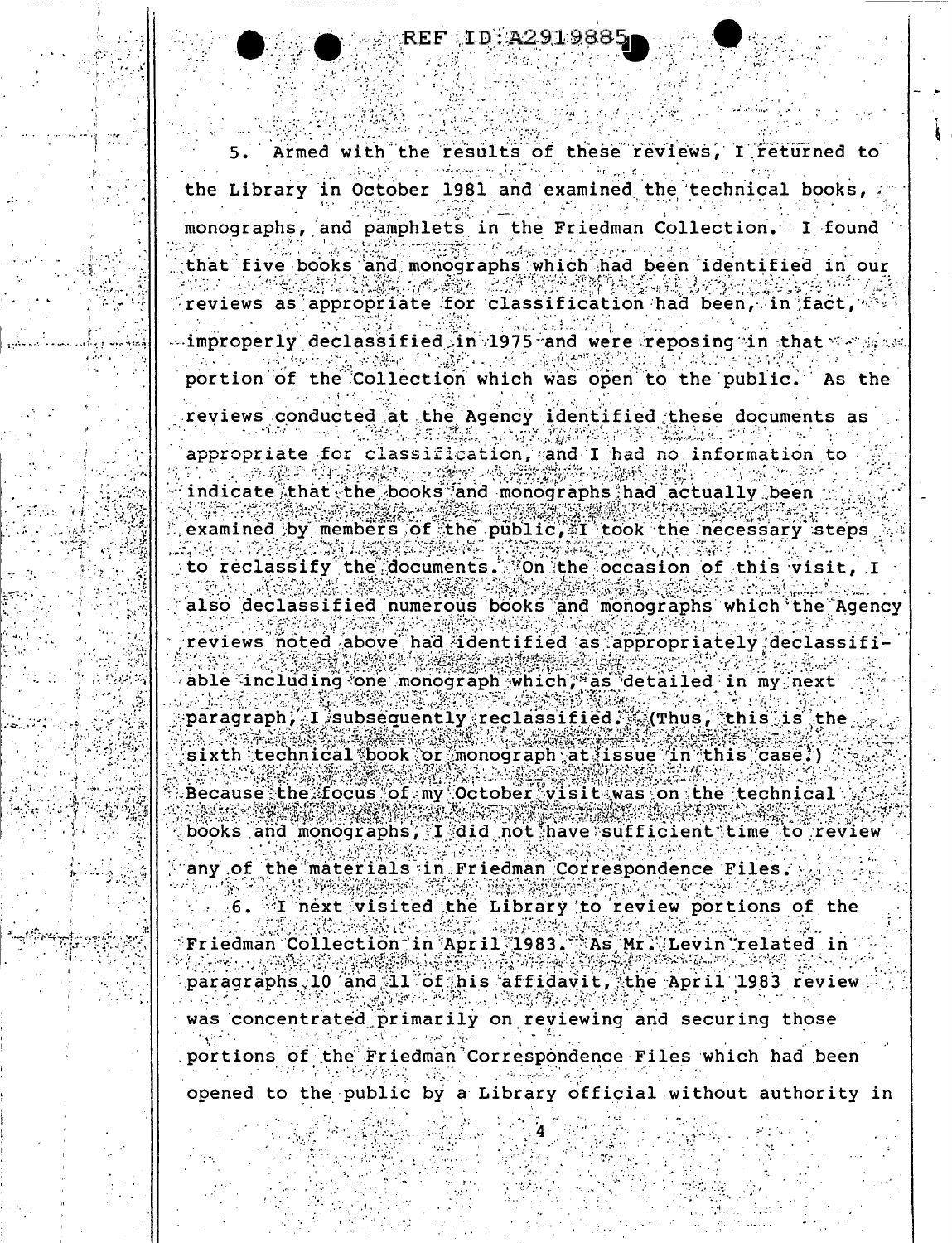$ID: A291988$ 

Armed with the results of these reviews, I returned to the Library in October 1981 and examined the technical books, monographs, and pamphlets in the Friedman Collection. I found that five books and monographs which had been identified in our reviews as appropriate for classification had been, in fact,  $\sim$  improperly declassified in 1975 and were reposing in that  $\sim$  reads. portion of the Collection which was open to the public. As the reviews conducted at the Agency identified these documents as

appropriate for classification, and I had no information to indicate that the books and monographs had actually been examined by members of the public, I took the necessary steps to reclassify the documents. On the occasion of this visit, I also declassified numerous books and monographs which the Agency reviews noted above had identified as appropriately declassifi

able including one monograph which, as detailed in my next  $\mathtt{paragraph}$ , I subsequently reclassified. (Thus, this is the sixth technical book or monograph at issue in this case.) Because the focus of my October visit was on the technical books and monographs, I did not have sufficient time to review

any of the materials in Friedman Correspondence Files.

6. I next visited the Library to review portions of the Friedman Collection in April 1983. As Mr. Levin related in paragraphs.10 and 11 of his affidavit, the April 1983 review was concentrated primarily on reviewing and securing those portions of the Friedman Correspondence Files which had been

opened to the public by a Library official without authority in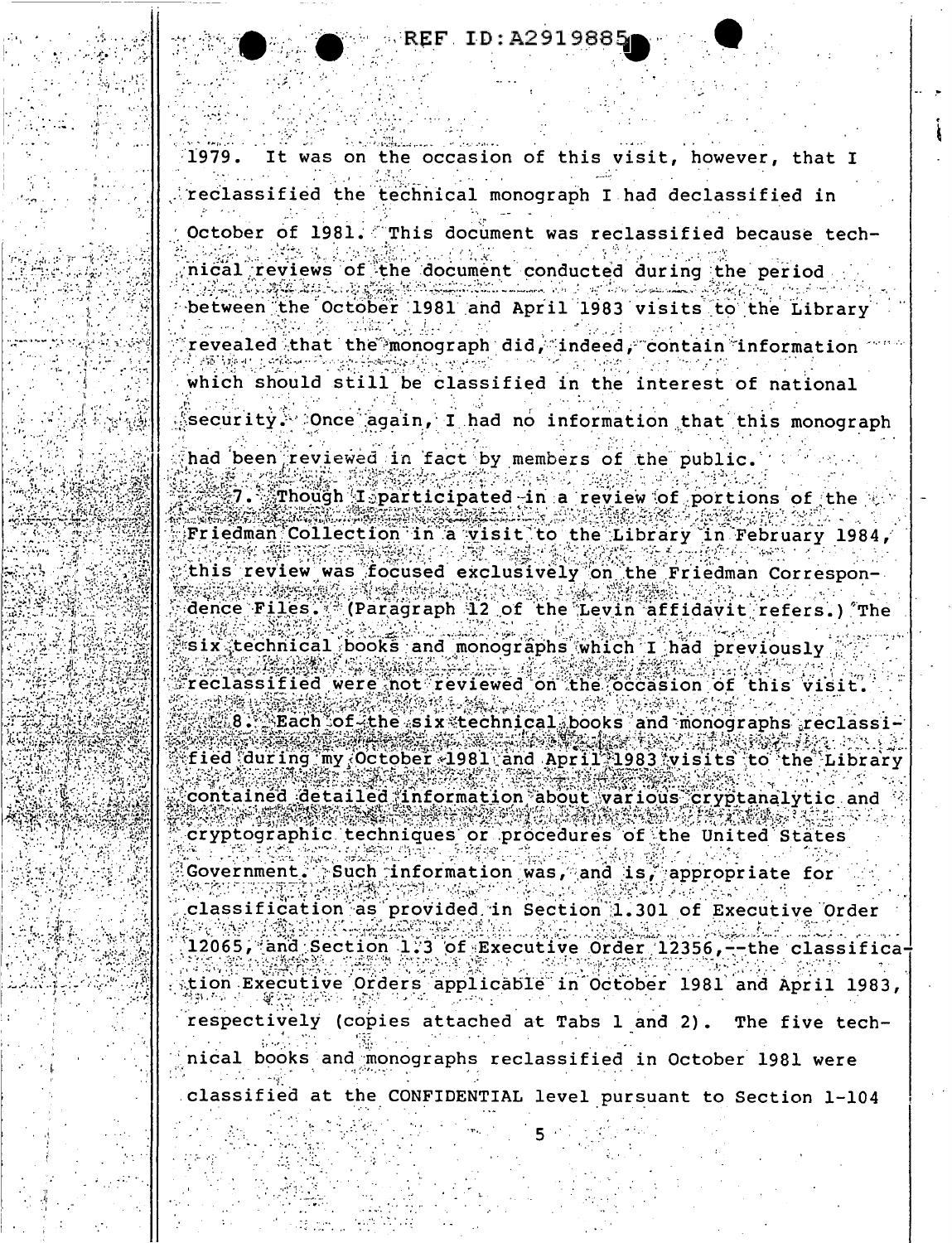**REF. ID: A291988!** 

It was on the occasion of this visit, however, that I 1979. reclassified the technical monograph I had declassified in October of 1981. This document was reclassified because tech- $\Delta \sim 10^4$ nical reviews of the document conducted during the period between the October 1981 and April 1983 visits to the Library revealed that the monograph did, indeed, contain information which should still be classified in the interest of national security. Once again, I had no information that this monograph had been reviewed in fact by members of the public. Though I participated in a review of portions of the  $\psi$ Friedman Collection in a visit to the Library in February 1984, this review was focused exclusively on the Friedman Correspondence Files. (Paragraph 12 of the Levin affidavit refers.) The six technical books and monographs which I had previously reclassified were not reviewed on the occasion of this visit. 8. Each of the six technical books and monographs reclassified during my October 1981 and April 1983 visits to the Library contained detailed information about various cryptanalytic and cryptographic techniques or procedures of the United States Government. Such information was, and is, appropriate for classification as provided in Section 1.301 of Executive Order 12065, and Section 1.3 of Executive Order 12356,--the classifica tion Executive Orders applicable in October 1981 and April 1983, respectively (copies attached at Tabs 1 and 2). The five technical books and monographs reclassified in October 1981 were classified at the CONFIDENTIAL level pursuant to Section 1-104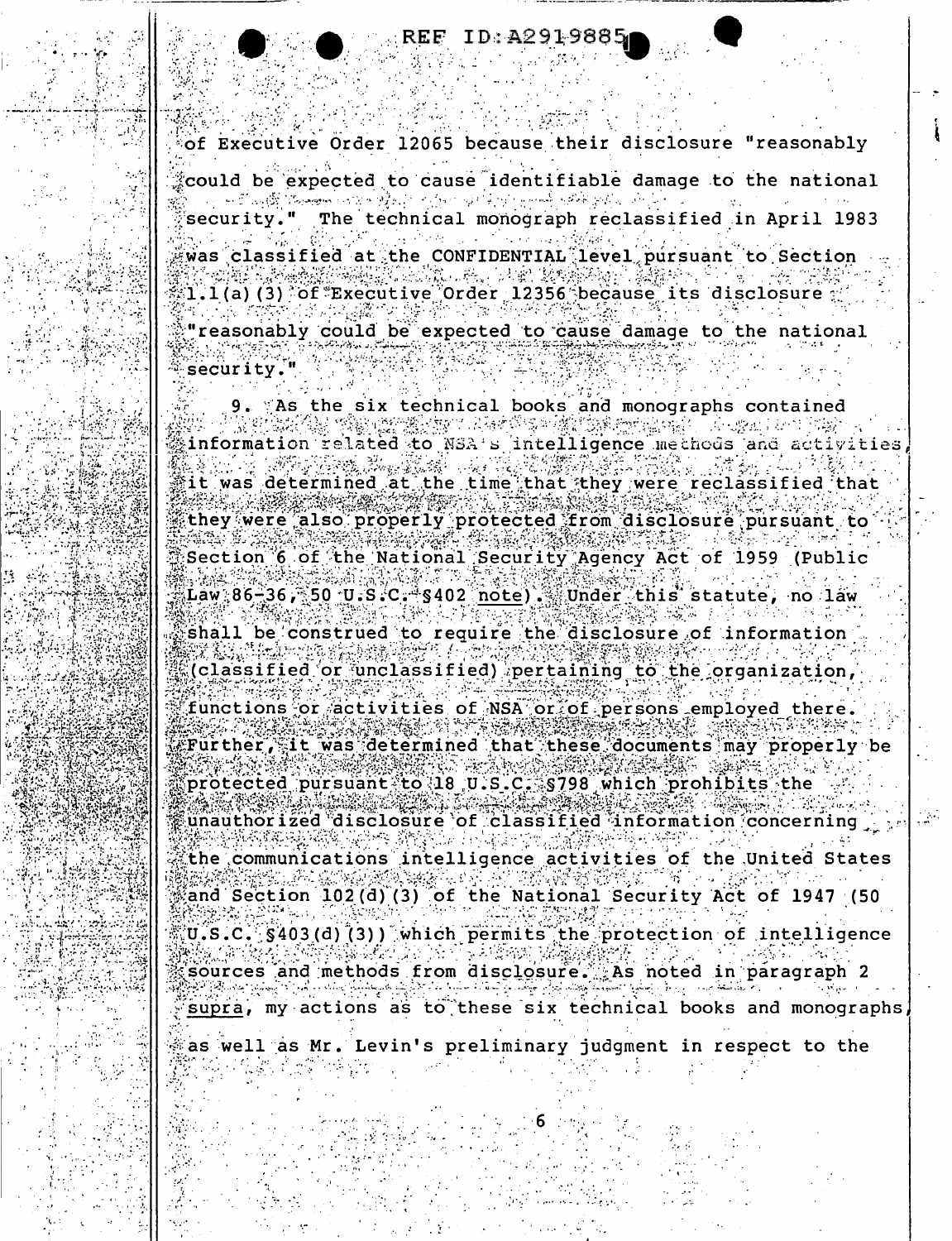fof Executive Order 12065 because their disclosure "reasonably

could be expected to cause identifiable damage to the national البراية والمواقوية المستنب  $\mathcal{G}^{(p)}$  and  $\mathcal{G}^{(p)}$ The technical monograph reclassified in April 1983 security.

was classified at the CONFIDENTIAL level pursuant to Section  $1.1(a)$  (3) of  $"$ Executive Order 12356 because its disclosure "reasonably could be expected to cause damage to the national security.'

9. As the six technical books and monographs contained information related to NSA's intelligence methods and it was determined at the time that they were reclassified that they were also properly protected from disclosure pursuant to Section 6 of the National Security Agency Act of 1959 (Public  $Law: 86-36$ , 50 U.S.C.  $S402$  note). Under this statute, no law shall be construed to require the disclosure of information (classified or unclassified) pertaining to the organization, functions or activities of NSA or of persons employed there. Further, it was determined that these documents may properly be protected pursuant to 18 U.S.C. \$798 which prohibits the unauthorized disclosure of classified information concerning the communications intelligence activities of the United States and Section 102(d)(3) of the National Security Act of 1947 (50 U.S.C. §403(d)(3)) which permits the protection of intelligence sources and methods from disclosure. As noted in paragraph 2 supra, my actions as to these six technical books and monographs

as well as Mr. Levin's preliminary judgment in respect to the